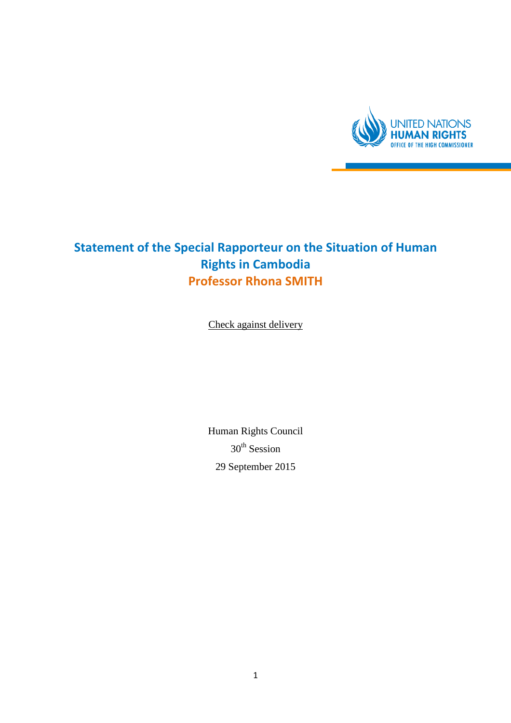

## Statement of the Special Rapporteur on the Situation of Human Rights in Cambodia Professor Rhona SMITH

Check against delivery

Human Rights Council 30<sup>th</sup> Session 29 September 2015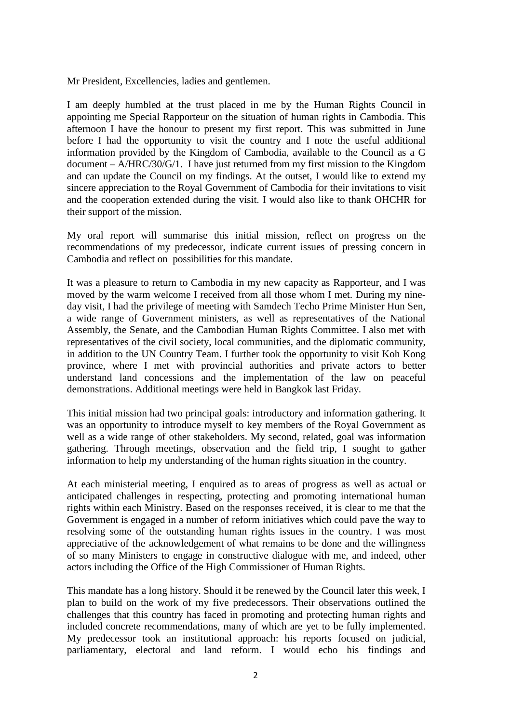Mr President, Excellencies, ladies and gentlemen.

I am deeply humbled at the trust placed in me by the Human Rights Council in appointing me Special Rapporteur on the situation of human rights in Cambodia. This afternoon I have the honour to present my first report. This was submitted in June before I had the opportunity to visit the country and I note the useful additional information provided by the Kingdom of Cambodia, available to the Council as a G document – A/HRC/30/G/1. I have just returned from my first mission to the Kingdom and can update the Council on my findings. At the outset, I would like to extend my sincere appreciation to the Royal Government of Cambodia for their invitations to visit and the cooperation extended during the visit. I would also like to thank OHCHR for their support of the mission.

My oral report will summarise this initial mission, reflect on progress on the recommendations of my predecessor, indicate current issues of pressing concern in Cambodia and reflect on possibilities for this mandate.

It was a pleasure to return to Cambodia in my new capacity as Rapporteur, and I was moved by the warm welcome I received from all those whom I met. During my nineday visit, I had the privilege of meeting with Samdech Techo Prime Minister Hun Sen, a wide range of Government ministers, as well as representatives of the National Assembly, the Senate, and the Cambodian Human Rights Committee. I also met with representatives of the civil society, local communities, and the diplomatic community, in addition to the UN Country Team. I further took the opportunity to visit Koh Kong province, where I met with provincial authorities and private actors to better understand land concessions and the implementation of the law on peaceful demonstrations. Additional meetings were held in Bangkok last Friday.

This initial mission had two principal goals: introductory and information gathering. It was an opportunity to introduce myself to key members of the Royal Government as well as a wide range of other stakeholders. My second, related, goal was information gathering. Through meetings, observation and the field trip, I sought to gather information to help my understanding of the human rights situation in the country.

At each ministerial meeting, I enquired as to areas of progress as well as actual or anticipated challenges in respecting, protecting and promoting international human rights within each Ministry. Based on the responses received, it is clear to me that the Government is engaged in a number of reform initiatives which could pave the way to resolving some of the outstanding human rights issues in the country. I was most appreciative of the acknowledgement of what remains to be done and the willingness of so many Ministers to engage in constructive dialogue with me, and indeed, other actors including the Office of the High Commissioner of Human Rights.

This mandate has a long history. Should it be renewed by the Council later this week, I plan to build on the work of my five predecessors. Their observations outlined the challenges that this country has faced in promoting and protecting human rights and included concrete recommendations, many of which are yet to be fully implemented. My predecessor took an institutional approach: his reports focused on judicial, parliamentary, electoral and land reform. I would echo his findings and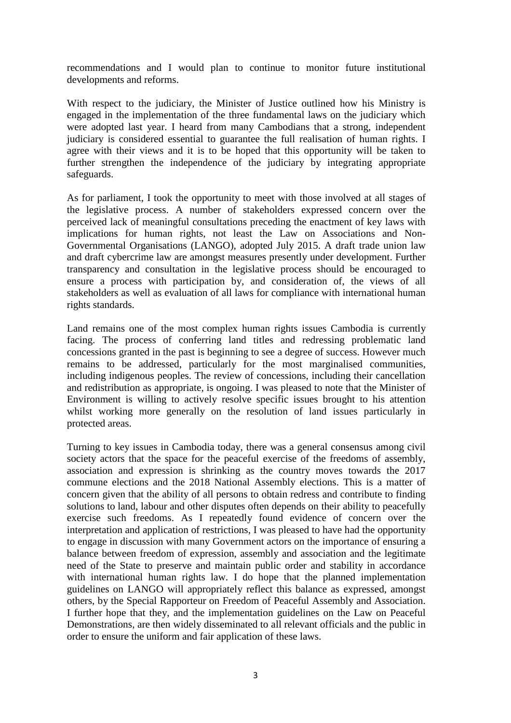recommendations and I would plan to continue to monitor future institutional developments and reforms.

With respect to the judiciary, the Minister of Justice outlined how his Ministry is engaged in the implementation of the three fundamental laws on the judiciary which were adopted last year. I heard from many Cambodians that a strong, independent judiciary is considered essential to guarantee the full realisation of human rights. I agree with their views and it is to be hoped that this opportunity will be taken to further strengthen the independence of the judiciary by integrating appropriate safeguards.

As for parliament, I took the opportunity to meet with those involved at all stages of the legislative process. A number of stakeholders expressed concern over the perceived lack of meaningful consultations preceding the enactment of key laws with implications for human rights, not least the Law on Associations and Non-Governmental Organisations (LANGO), adopted July 2015. A draft trade union law and draft cybercrime law are amongst measures presently under development. Further transparency and consultation in the legislative process should be encouraged to ensure a process with participation by, and consideration of, the views of all stakeholders as well as evaluation of all laws for compliance with international human rights standards.

Land remains one of the most complex human rights issues Cambodia is currently facing. The process of conferring land titles and redressing problematic land concessions granted in the past is beginning to see a degree of success. However much remains to be addressed, particularly for the most marginalised communities, including indigenous peoples. The review of concessions, including their cancellation and redistribution as appropriate, is ongoing. I was pleased to note that the Minister of Environment is willing to actively resolve specific issues brought to his attention whilst working more generally on the resolution of land issues particularly in protected areas.

Turning to key issues in Cambodia today, there was a general consensus among civil society actors that the space for the peaceful exercise of the freedoms of assembly, association and expression is shrinking as the country moves towards the 2017 commune elections and the 2018 National Assembly elections. This is a matter of concern given that the ability of all persons to obtain redress and contribute to finding solutions to land, labour and other disputes often depends on their ability to peacefully exercise such freedoms. As I repeatedly found evidence of concern over the interpretation and application of restrictions, I was pleased to have had the opportunity to engage in discussion with many Government actors on the importance of ensuring a balance between freedom of expression, assembly and association and the legitimate need of the State to preserve and maintain public order and stability in accordance with international human rights law. I do hope that the planned implementation guidelines on LANGO will appropriately reflect this balance as expressed, amongst others, by the Special Rapporteur on Freedom of Peaceful Assembly and Association. I further hope that they, and the implementation guidelines on the Law on Peaceful Demonstrations, are then widely disseminated to all relevant officials and the public in order to ensure the uniform and fair application of these laws.